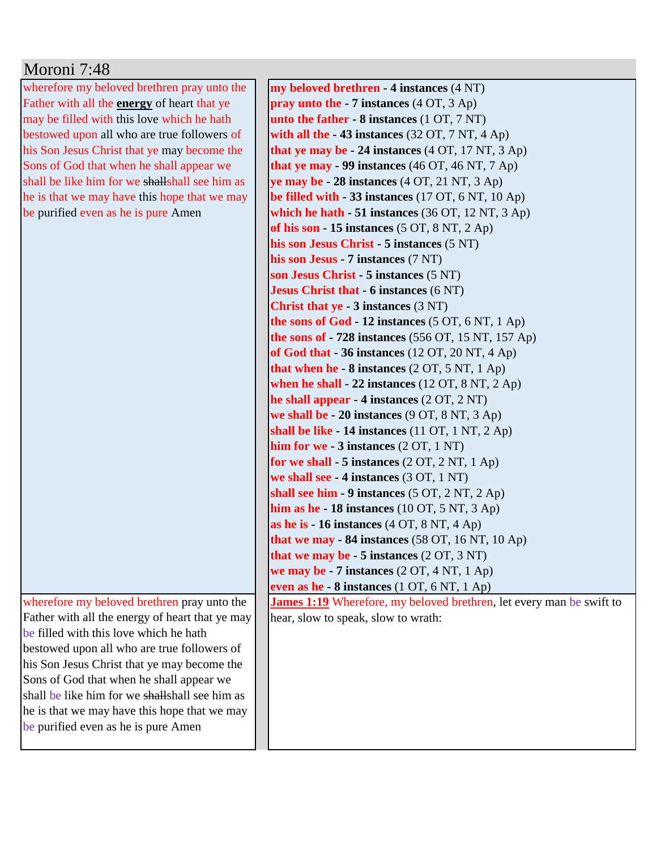| Moroni 7:48                                                                                |                                                                             |
|--------------------------------------------------------------------------------------------|-----------------------------------------------------------------------------|
| wherefore my beloved brethren pray unto the                                                | my beloved brethren - 4 instances (4 NT)                                    |
| Father with all the <b>energy</b> of heart that ye                                         | <b>pray unto the - 7 instances</b> $(4 OT, 3 Ap)$                           |
| may be filled with this love which he hath                                                 | unto the father - 8 instances (1 OT, 7 NT)                                  |
| bestowed upon all who are true followers of                                                | with all the $-43$ instances (32 OT, 7 NT, 4 Ap)                            |
| his Son Jesus Christ that ye may become the                                                | that ye may be $-24$ instances (4 OT, 17 NT, 3 Ap)                          |
| Sons of God that when he shall appear we                                                   | that ye may $-99$ instances (46 OT, 46 NT, 7 Ap)                            |
| shall be like him for we shall shall see him as                                            | ye may be $-28$ instances $(4 OT, 21 NT, 3 Ap)$                             |
| he is that we may have this hope that we may                                               | be filled with $-33$ instances (17 OT, 6 NT, 10 Ap)                         |
| be purified even as he is pure Amen                                                        | which he hath $-51$ instances (36 OT, 12 NT, 3 Ap)                          |
|                                                                                            | of his son $-15$ instances $(5 OT, 8 NT, 2 Ap)$                             |
|                                                                                            | his son Jesus Christ - 5 instances (5 NT)                                   |
|                                                                                            | his son Jesus - 7 instances (7 NT)                                          |
|                                                                                            | son Jesus Christ - 5 instances (5 NT)                                       |
|                                                                                            | <b>Jesus Christ that - 6 instances (6 NT)</b>                               |
|                                                                                            | <b>Christ that ye - 3 instances (3 NT)</b>                                  |
|                                                                                            | the sons of God - 12 instances (5 OT, 6 NT, 1 Ap)                           |
|                                                                                            | the sons of $-728$ instances (556 OT, 15 NT, 157 Ap)                        |
|                                                                                            | of God that $-36$ instances (12 OT, 20 NT, 4 Ap)                            |
|                                                                                            | that when he - $8$ instances $(2 OT, 5 NT, 1 Ap)$                           |
|                                                                                            | when he shall $-22$ instances (12 OT, 8 NT, 2 Ap)                           |
|                                                                                            | he shall appear $-4$ instances $(2 OT, 2 NT)$                               |
|                                                                                            | we shall be - 20 instances (9 OT, 8 NT, 3 Ap)                               |
|                                                                                            | shall be like $-14$ instances (11 OT, 1 NT, 2 Ap)                           |
|                                                                                            | him for we $-3$ instances $(2 OT, 1 NT)$                                    |
|                                                                                            | for we shall $-5$ instances $(2 OT, 2 NT, 1 Ap)$                            |
|                                                                                            | we shall see - 4 instances (3 OT, 1 NT)                                     |
|                                                                                            | shall see him - 9 instances (5 OT, 2 NT, 2 Ap)                              |
|                                                                                            | him as he - 18 instances $(10 OT, 5 NT, 3 Ap)$                              |
|                                                                                            | as he is $-16$ instances $(4 OT, 8 NT, 4 Ap)$                               |
|                                                                                            | that we may $-84$ instances (58 OT, 16 NT, 10 Ap)                           |
|                                                                                            | that we may be $-5$ instances $(2 OT, 3 NT)$                                |
|                                                                                            | we may be $-7$ instances $(2 OT, 4 NT, 1 Ap)$                               |
|                                                                                            | even as he - 8 instances (1 OT, 6 NT, 1 Ap)                                 |
| wherefore my beloved brethren pray unto the                                                | <b>James 1:19</b> Wherefore, my beloved brethren, let every man be swift to |
| Father with all the energy of heart that ye may<br>be filled with this love which he hath  | hear, slow to speak, slow to wrath:                                         |
|                                                                                            |                                                                             |
| bestowed upon all who are true followers of<br>his Son Jesus Christ that ye may become the |                                                                             |
| Sons of God that when he shall appear we                                                   |                                                                             |
| shall be like him for we shall shall see him as                                            |                                                                             |
| he is that we may have this hope that we may                                               |                                                                             |
| be purified even as he is pure Amen                                                        |                                                                             |
|                                                                                            |                                                                             |
|                                                                                            |                                                                             |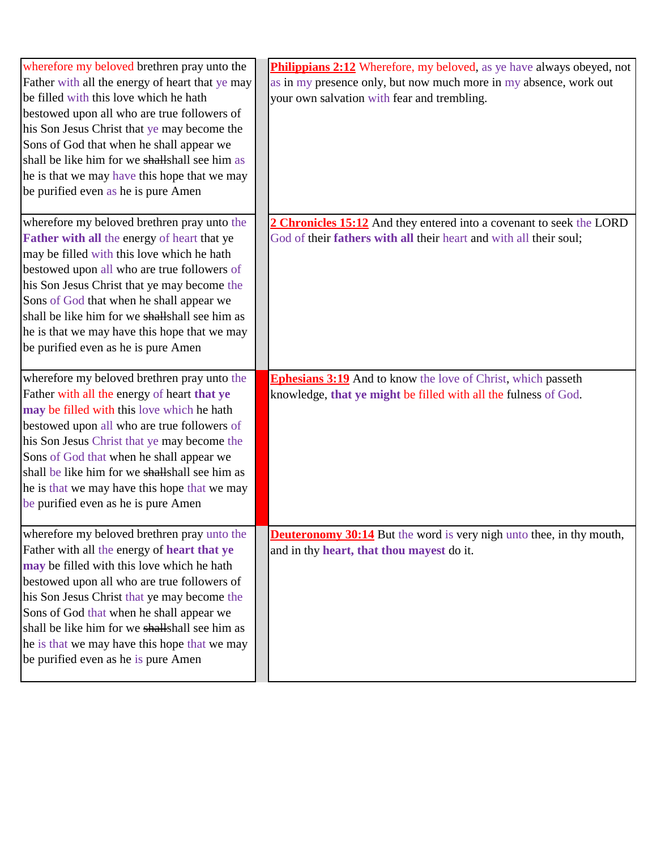| wherefore my beloved brethren pray unto the<br>Father with all the energy of heart that ye may<br>be filled with this love which he hath<br>bestowed upon all who are true followers of<br>his Son Jesus Christ that ye may become the<br>Sons of God that when he shall appear we<br>shall be like him for we shall shall see him as<br>he is that we may have this hope that we may<br>be purified even as he is pure Amen | Philippians 2:12 Wherefore, my beloved, as ye have always obeyed, not<br>as in my presence only, but now much more in my absence, work out<br>your own salvation with fear and trembling. |
|------------------------------------------------------------------------------------------------------------------------------------------------------------------------------------------------------------------------------------------------------------------------------------------------------------------------------------------------------------------------------------------------------------------------------|-------------------------------------------------------------------------------------------------------------------------------------------------------------------------------------------|
| wherefore my beloved brethren pray unto the<br>Father with all the energy of heart that ye<br>may be filled with this love which he hath<br>bestowed upon all who are true followers of<br>his Son Jesus Christ that ye may become the<br>Sons of God that when he shall appear we<br>shall be like him for we shall shall see him as<br>he is that we may have this hope that we may<br>be purified even as he is pure Amen | 2 Chronicles 15:12 And they entered into a covenant to seek the LORD<br>God of their fathers with all their heart and with all their soul;                                                |
| wherefore my beloved brethren pray unto the<br>Father with all the energy of heart that ye<br>may be filled with this love which he hath<br>bestowed upon all who are true followers of<br>his Son Jesus Christ that ye may become the<br>Sons of God that when he shall appear we<br>shall be like him for we shall shall see him as<br>he is that we may have this hope that we may<br>be purified even as he is pure Amen | <b>Ephesians 3:19</b> And to know the love of Christ, which passeth<br>knowledge, that ye might be filled with all the fulness of God.                                                    |
| wherefore my beloved brethren pray unto the<br>Father with all the energy of heart that ye<br>may be filled with this love which he hath<br>bestowed upon all who are true followers of<br>his Son Jesus Christ that ye may become the<br>Sons of God that when he shall appear we<br>shall be like him for we shall shall see him as<br>he is that we may have this hope that we may<br>be purified even as he is pure Amen | <b>Deuteronomy 30:14</b> But the word is very nigh unto thee, in thy mouth,<br>and in thy heart, that thou mayest do it.                                                                  |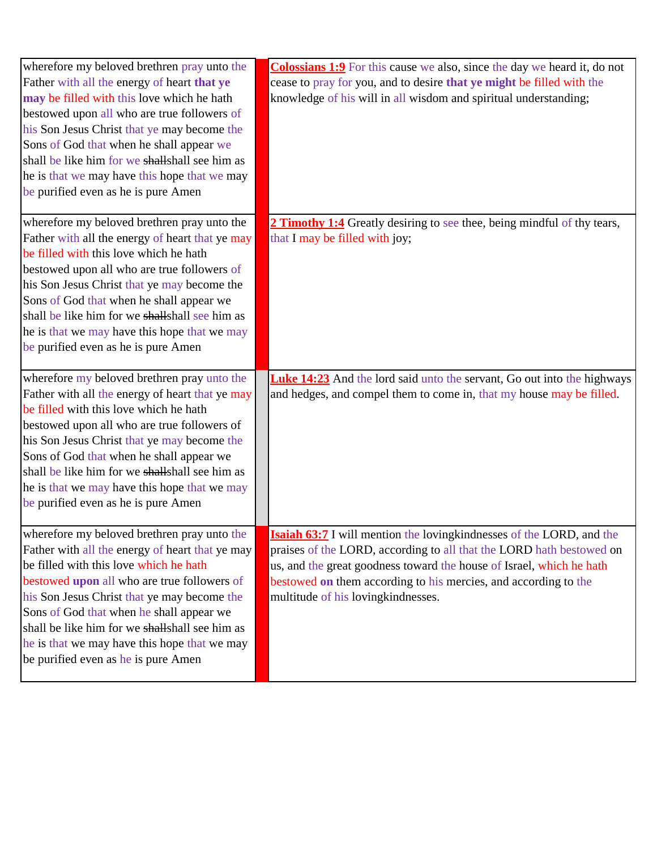| wherefore my beloved brethren pray unto the<br>Father with all the energy of heart that ye<br>may be filled with this love which he hath<br>bestowed upon all who are true followers of<br>his Son Jesus Christ that ye may become the<br>Sons of God that when he shall appear we<br>shall be like him for we shall shall see him as<br>he is that we may have this hope that we may<br>be purified even as he is pure Amen | <b>Colossians 1:9</b> For this cause we also, since the day we heard it, do not<br>cease to pray for you, and to desire that ye might be filled with the<br>knowledge of his will in all wisdom and spiritual understanding;                                                                                                          |
|------------------------------------------------------------------------------------------------------------------------------------------------------------------------------------------------------------------------------------------------------------------------------------------------------------------------------------------------------------------------------------------------------------------------------|---------------------------------------------------------------------------------------------------------------------------------------------------------------------------------------------------------------------------------------------------------------------------------------------------------------------------------------|
| wherefore my beloved brethren pray unto the<br>Father with all the energy of heart that ye may<br>be filled with this love which he hath<br>bestowed upon all who are true followers of<br>his Son Jesus Christ that ye may become the<br>Sons of God that when he shall appear we<br>shall be like him for we shall shall see him as<br>he is that we may have this hope that we may<br>be purified even as he is pure Amen | <b>2 Timothy 1:4</b> Greatly desiring to see thee, being mindful of thy tears,<br>that I may be filled with joy;                                                                                                                                                                                                                      |
| wherefore my beloved brethren pray unto the<br>Father with all the energy of heart that ye may<br>be filled with this love which he hath<br>bestowed upon all who are true followers of<br>his Son Jesus Christ that ye may become the<br>Sons of God that when he shall appear we<br>shall be like him for we shall shall see him as<br>he is that we may have this hope that we may<br>be purified even as he is pure Amen | <b>Luke 14:23</b> And the lord said unto the servant, Go out into the highways<br>and hedges, and compel them to come in, that my house may be filled.                                                                                                                                                                                |
| wherefore my beloved brethren pray unto the<br>Father with all the energy of heart that ye may<br>be filled with this love which he hath<br>bestowed upon all who are true followers of<br>his Son Jesus Christ that ye may become the<br>Sons of God that when he shall appear we<br>shall be like him for we shall shall see him as<br>he is that we may have this hope that we may<br>be purified even as he is pure Amen | <b>Isaiah 63:7</b> I will mention the loving kindnesses of the LORD, and the<br>praises of the LORD, according to all that the LORD hath bestowed on<br>us, and the great goodness toward the house of Israel, which he hath<br>bestowed on them according to his mercies, and according to the<br>multitude of his lovingkindnesses. |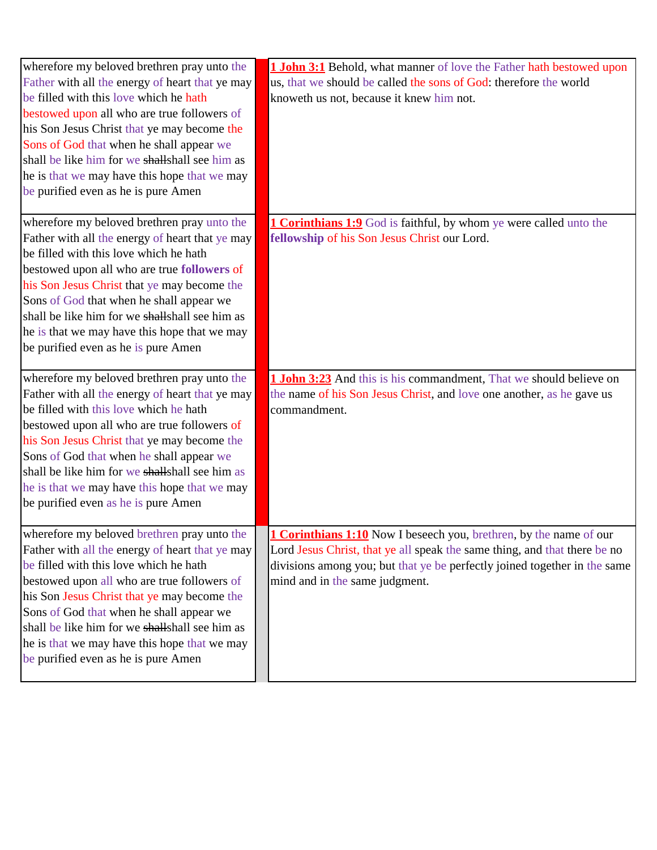| wherefore my beloved brethren pray unto the<br>Father with all the energy of heart that ye may<br>be filled with this love which he hath<br>bestowed upon all who are true followers of<br>his Son Jesus Christ that ye may become the<br>Sons of God that when he shall appear we<br>shall be like him for we shall shall see him as<br>he is that we may have this hope that we may<br>be purified even as he is pure Amen | <b>1 John 3:1</b> Behold, what manner of love the Father hath bestowed upon<br>us, that we should be called the sons of God: therefore the world<br>knoweth us not, because it knew him not.                                                                          |
|------------------------------------------------------------------------------------------------------------------------------------------------------------------------------------------------------------------------------------------------------------------------------------------------------------------------------------------------------------------------------------------------------------------------------|-----------------------------------------------------------------------------------------------------------------------------------------------------------------------------------------------------------------------------------------------------------------------|
| wherefore my beloved brethren pray unto the<br>Father with all the energy of heart that ye may<br>be filled with this love which he hath<br>bestowed upon all who are true followers of<br>his Son Jesus Christ that ye may become the<br>Sons of God that when he shall appear we<br>shall be like him for we shall shall see him as<br>he is that we may have this hope that we may<br>be purified even as he is pure Amen | <b>1 Corinthians 1:9</b> God is faithful, by whom ye were called unto the<br>fellowship of his Son Jesus Christ our Lord.                                                                                                                                             |
| wherefore my beloved brethren pray unto the<br>Father with all the energy of heart that ye may<br>be filled with this love which he hath<br>bestowed upon all who are true followers of<br>his Son Jesus Christ that ye may become the<br>Sons of God that when he shall appear we<br>shall be like him for we shall shall see him as<br>he is that we may have this hope that we may<br>be purified even as he is pure Amen | 1 John 3:23 And this is his commandment, That we should believe on<br>the name of his Son Jesus Christ, and love one another, as he gave us<br>commandment.                                                                                                           |
| wherefore my beloved brethren pray unto the<br>Father with all the energy of heart that ye may<br>be filled with this love which he hath<br>bestowed upon all who are true followers of<br>his Son Jesus Christ that ye may become the<br>Sons of God that when he shall appear we<br>shall be like him for we shall shall see him as<br>he is that we may have this hope that we may<br>be purified even as he is pure Amen | <b>1 Corinthians 1:10</b> Now I beseech you, brethren, by the name of our<br>Lord Jesus Christ, that ye all speak the same thing, and that there be no<br>divisions among you; but that ye be perfectly joined together in the same<br>mind and in the same judgment. |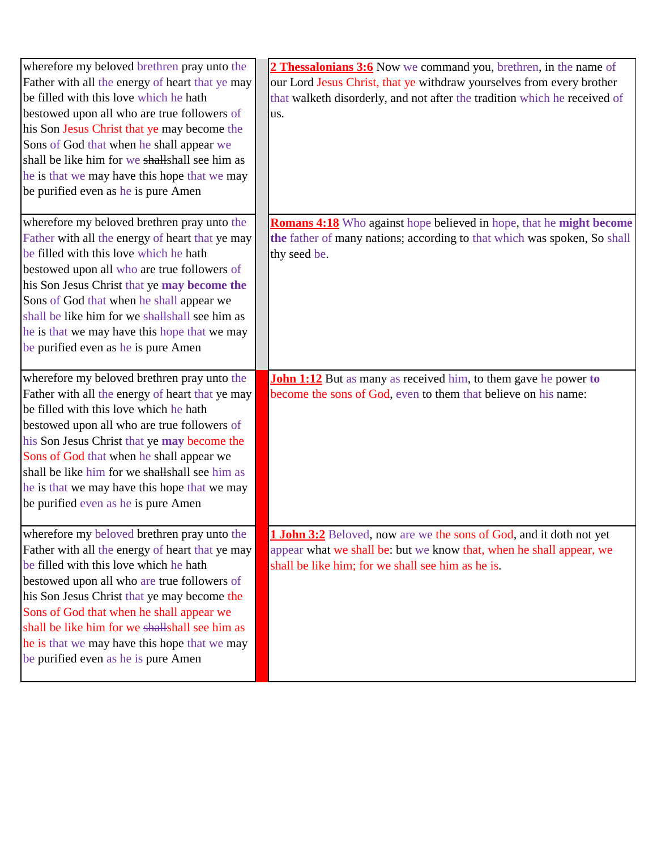| wherefore my beloved brethren pray unto the<br>Father with all the energy of heart that ye may<br>be filled with this love which he hath<br>bestowed upon all who are true followers of<br>his Son Jesus Christ that ye may become the<br>Sons of God that when he shall appear we<br>shall be like him for we shall shall see him as<br>he is that we may have this hope that we may<br>be purified even as he is pure Amen | 2 Thessalonians 3:6 Now we command you, brethren, in the name of<br>our Lord Jesus Christ, that ye withdraw yourselves from every brother<br>that walketh disorderly, and not after the tradition which he received of<br>us. |
|------------------------------------------------------------------------------------------------------------------------------------------------------------------------------------------------------------------------------------------------------------------------------------------------------------------------------------------------------------------------------------------------------------------------------|-------------------------------------------------------------------------------------------------------------------------------------------------------------------------------------------------------------------------------|
| wherefore my beloved brethren pray unto the<br>Father with all the energy of heart that ye may<br>be filled with this love which he hath<br>bestowed upon all who are true followers of<br>his Son Jesus Christ that ye may become the<br>Sons of God that when he shall appear we<br>shall be like him for we shall shall see him as<br>he is that we may have this hope that we may<br>be purified even as he is pure Amen | <b>Romans 4:18</b> Who against hope believed in hope, that he might become<br>the father of many nations; according to that which was spoken, So shall<br>thy seed be.                                                        |
| wherefore my beloved brethren pray unto the<br>Father with all the energy of heart that ye may<br>be filled with this love which he hath<br>bestowed upon all who are true followers of<br>his Son Jesus Christ that ye may become the<br>Sons of God that when he shall appear we<br>shall be like him for we shall shall see him as<br>he is that we may have this hope that we may<br>be purified even as he is pure Amen | <b>John 1:12</b> But as many as received him, to them gave he power to<br>become the sons of God, even to them that believe on his name:                                                                                      |
| wherefore my beloved brethren pray unto the<br>Father with all the energy of heart that ye may<br>be filled with this love which he hath<br>bestowed upon all who are true followers of<br>his Son Jesus Christ that ye may become the<br>Sons of God that when he shall appear we<br>shall be like him for we shall shall see him as<br>he is that we may have this hope that we may<br>be purified even as he is pure Amen | <b>1 John 3:2</b> Beloved, now are we the sons of God, and it doth not yet<br>appear what we shall be: but we know that, when he shall appear, we<br>shall be like him; for we shall see him as he is.                        |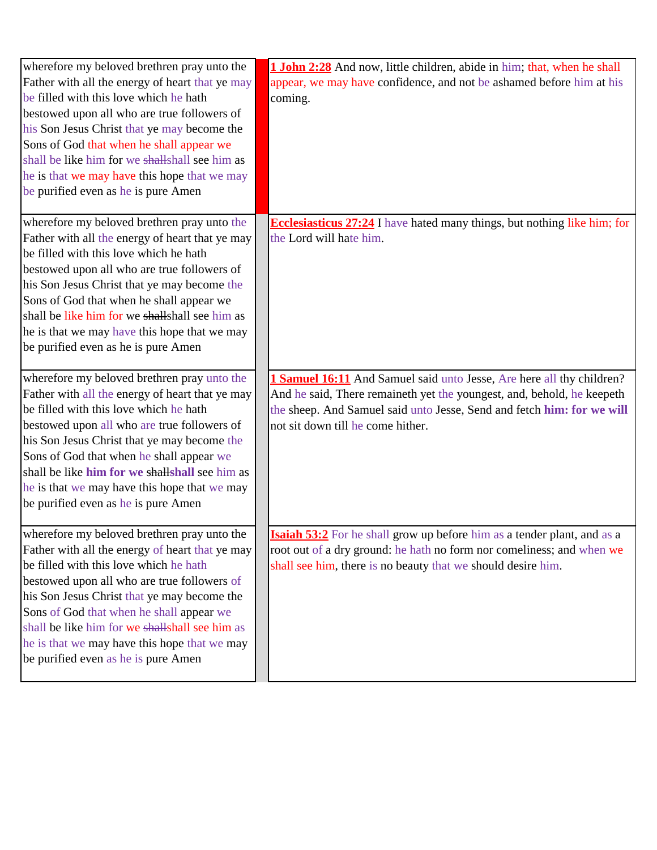| wherefore my beloved brethren pray unto the<br>Father with all the energy of heart that ye may<br>be filled with this love which he hath<br>bestowed upon all who are true followers of<br>his Son Jesus Christ that ye may become the<br>Sons of God that when he shall appear we<br>shall be like him for we shall shall see him as<br>he is that we may have this hope that we may<br>be purified even as he is pure Amen | 1 John 2:28 And now, little children, abide in him; that, when he shall<br>appear, we may have confidence, and not be ashamed before him at his<br>coming.                                                                                                     |
|------------------------------------------------------------------------------------------------------------------------------------------------------------------------------------------------------------------------------------------------------------------------------------------------------------------------------------------------------------------------------------------------------------------------------|----------------------------------------------------------------------------------------------------------------------------------------------------------------------------------------------------------------------------------------------------------------|
| wherefore my beloved brethren pray unto the<br>Father with all the energy of heart that ye may<br>be filled with this love which he hath<br>bestowed upon all who are true followers of<br>his Son Jesus Christ that ye may become the<br>Sons of God that when he shall appear we<br>shall be like him for we shall shall see him as<br>he is that we may have this hope that we may<br>be purified even as he is pure Amen | <b>Ecclesiasticus 27:24</b> I have hated many things, but nothing like him; for<br>the Lord will hate him.                                                                                                                                                     |
| wherefore my beloved brethren pray unto the<br>Father with all the energy of heart that ye may<br>be filled with this love which he hath<br>bestowed upon all who are true followers of<br>his Son Jesus Christ that ye may become the<br>Sons of God that when he shall appear we<br>shall be like him for we shall shall see him as<br>he is that we may have this hope that we may<br>be purified even as he is pure Amen | 1 Samuel 16:11 And Samuel said unto Jesse, Are here all thy children?<br>And he said, There remaineth yet the youngest, and, behold, he keepeth<br>the sheep. And Samuel said unto Jesse, Send and fetch him: for we will<br>not sit down till he come hither. |
| wherefore my beloved brethren pray unto the<br>Father with all the energy of heart that ye may<br>be filled with this love which he hath<br>bestowed upon all who are true followers of<br>his Son Jesus Christ that ye may become the<br>Sons of God that when he shall appear we<br>shall be like him for we shall shall see him as<br>he is that we may have this hope that we may<br>be purified even as he is pure Amen | <b>Isaiah 53:2</b> For he shall grow up before him as a tender plant, and as a<br>root out of a dry ground: he hath no form nor comeliness; and when we<br>shall see him, there is no beauty that we should desire him.                                        |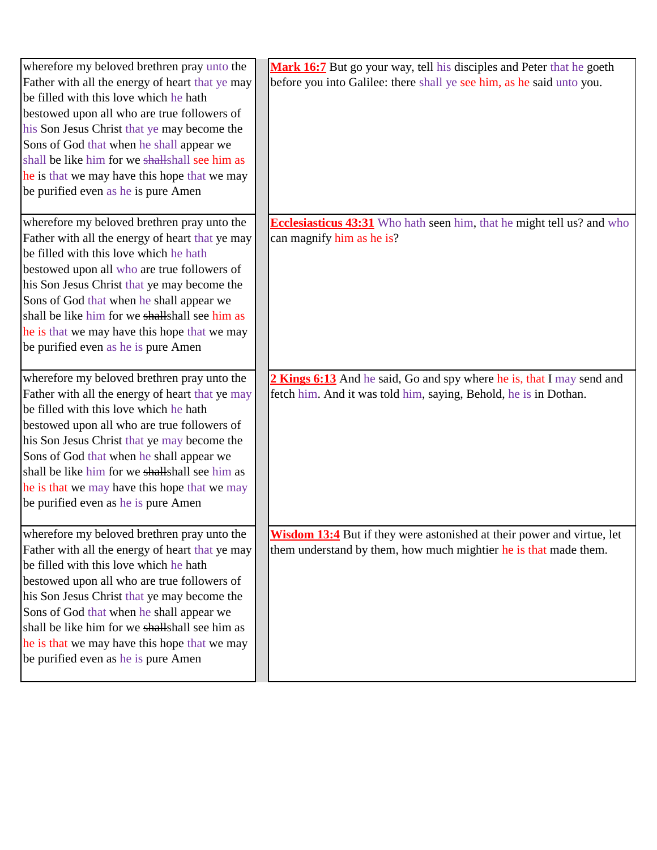| wherefore my beloved brethren pray unto the     | Mark 16:7 But go your way, tell his disciples and Peter that he goeth         |
|-------------------------------------------------|-------------------------------------------------------------------------------|
| Father with all the energy of heart that ye may | before you into Galilee: there shall ye see him, as he said unto you.         |
| be filled with this love which he hath          |                                                                               |
| bestowed upon all who are true followers of     |                                                                               |
| his Son Jesus Christ that ye may become the     |                                                                               |
| Sons of God that when he shall appear we        |                                                                               |
| shall be like him for we shall shall see him as |                                                                               |
| he is that we may have this hope that we may    |                                                                               |
| be purified even as he is pure Amen             |                                                                               |
|                                                 |                                                                               |
| wherefore my beloved brethren pray unto the     | <b>Ecclesiasticus 43:31</b> Who hath seen him, that he might tell us? and who |
| Father with all the energy of heart that ye may | can magnify him as he is?                                                     |
| be filled with this love which he hath          |                                                                               |
| bestowed upon all who are true followers of     |                                                                               |
| his Son Jesus Christ that ye may become the     |                                                                               |
| Sons of God that when he shall appear we        |                                                                               |
| shall be like him for we shall shall see him as |                                                                               |
| he is that we may have this hope that we may    |                                                                               |
| be purified even as he is pure Amen             |                                                                               |
|                                                 |                                                                               |
|                                                 |                                                                               |
| wherefore my beloved brethren pray unto the     | 2 Kings 6:13 And he said, Go and spy where he is, that I may send and         |
| Father with all the energy of heart that ye may | fetch him. And it was told him, saying, Behold, he is in Dothan.              |
| be filled with this love which he hath          |                                                                               |
| bestowed upon all who are true followers of     |                                                                               |
| his Son Jesus Christ that ye may become the     |                                                                               |
| Sons of God that when he shall appear we        |                                                                               |
| shall be like him for we shall shall see him as |                                                                               |
| he is that we may have this hope that we may    |                                                                               |
| be purified even as he is pure Amen             |                                                                               |
|                                                 |                                                                               |
| wherefore my beloved brethren pray unto the     | Wisdom 13:4 But if they were astonished at their power and virtue, let        |
| Father with all the energy of heart that ye may | them understand by them, how much mightier he is that made them.              |
| be filled with this love which he hath          |                                                                               |
| bestowed upon all who are true followers of     |                                                                               |
| his Son Jesus Christ that ye may become the     |                                                                               |
| Sons of God that when he shall appear we        |                                                                               |
| shall be like him for we shall shall see him as |                                                                               |
| he is that we may have this hope that we may    |                                                                               |
| be purified even as he is pure Amen             |                                                                               |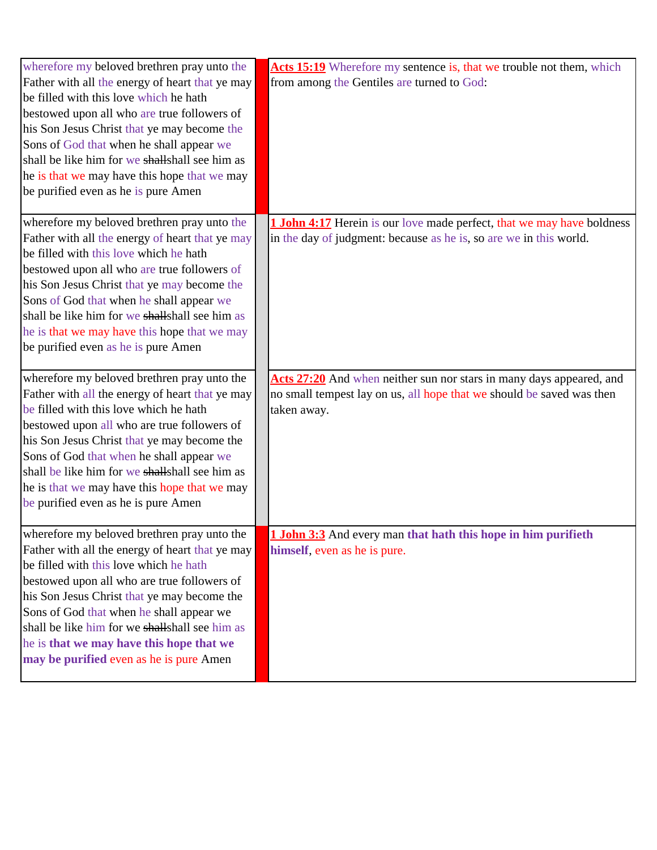| wherefore my beloved brethren pray unto the<br>Father with all the energy of heart that ye may<br>be filled with this love which he hath<br>bestowed upon all who are true followers of<br>his Son Jesus Christ that ye may become the<br>Sons of God that when he shall appear we<br>shall be like him for we shall shall see him as<br>he is that we may have this hope that we may<br>be purified even as he is pure Amen | Acts 15:19 Wherefore my sentence is, that we trouble not them, which<br>from among the Gentiles are turned to God:                                           |
|------------------------------------------------------------------------------------------------------------------------------------------------------------------------------------------------------------------------------------------------------------------------------------------------------------------------------------------------------------------------------------------------------------------------------|--------------------------------------------------------------------------------------------------------------------------------------------------------------|
| wherefore my beloved brethren pray unto the<br>Father with all the energy of heart that ye may<br>be filled with this love which he hath<br>bestowed upon all who are true followers of<br>his Son Jesus Christ that ye may become the<br>Sons of God that when he shall appear we<br>shall be like him for we shall shall see him as<br>he is that we may have this hope that we may<br>be purified even as he is pure Amen | <b>1 John 4:17</b> Herein is our love made perfect, that we may have boldness<br>in the day of judgment: because as he is, so are we in this world.          |
| wherefore my beloved brethren pray unto the<br>Father with all the energy of heart that ye may<br>be filled with this love which he hath<br>bestowed upon all who are true followers of<br>his Son Jesus Christ that ye may become the<br>Sons of God that when he shall appear we<br>shall be like him for we shall shall see him as<br>he is that we may have this hope that we may<br>be purified even as he is pure Amen | Acts 27:20 And when neither sun nor stars in many days appeared, and<br>no small tempest lay on us, all hope that we should be saved was then<br>taken away. |
| wherefore my beloved brethren pray unto the<br>Father with all the energy of heart that ye may<br>be filled with this love which he hath<br>bestowed upon all who are true followers of<br>his Son Jesus Christ that ye may become the<br>Sons of God that when he shall appear we<br>shall be like him for we shall shall see him as<br>he is that we may have this hope that we<br>may be purified even as he is pure Amen | 1 John 3:3 And every man that hath this hope in him purifieth<br>himself, even as he is pure.                                                                |